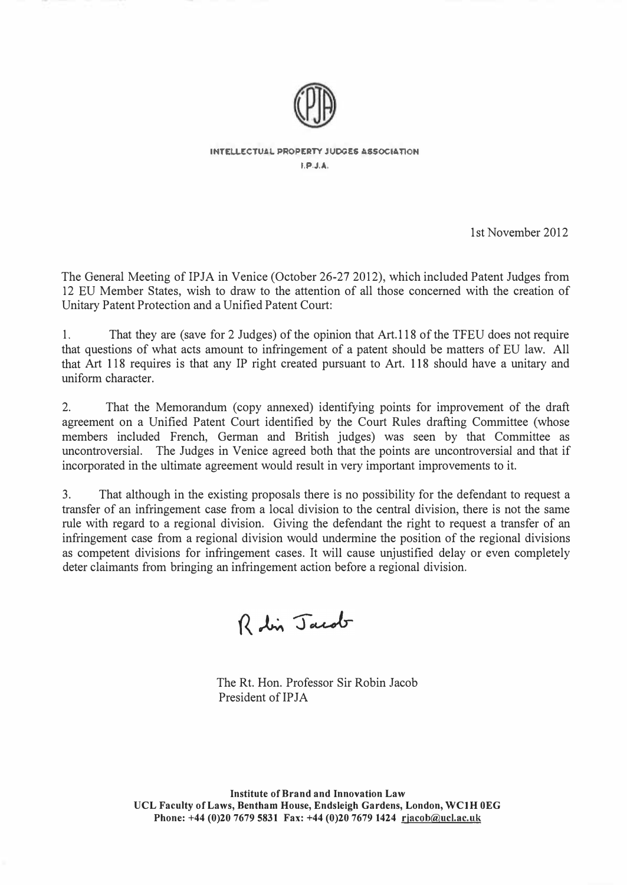

INTELLECTUAL PROPERTY JUDGES ASSOCIATION I,P.J,A,

1st November 2012

The General Meeting of IPJA in Venice (October 26-27 2012), which included Patent Judges from 12 EU Member States, wish to draw to the attention of all those concerned with the creation of Unitary Patent Protection and a Unified Patent Court:

1. That they are (save for 2 Judges) of the opinion that Art.11S of the TFEU does not require that questions of what acts amount to infringement of a patent should be matters of EU law. All that Art 1 18 requires is that any IP right created pursuant to Art. 118 should have a unitary and uniform character.

2. That the Memorandum (copy annexed) identifying points for improvement of the draft agreement on a Unified Patent Court identified by the Court Rules drafting Committee (whose members included French, German and British judges) was seen by that Committee as uncontroversial. The Judges in Venice agreed both that the points are uncontroversial and that if incorporated in the ultimate agreement would result in very important improvements to it.

3. That although in the existing proposals there is no possibility for the defendant to request a transfer of an infringement case from a local division to the central division, there is not the same rule with regard to a regional division. Giving the defendant the right to request a transfer of an infringement case from a regional division would undermine the position of the regional divisions as competent divisions for infringement cases. It will cause unjustified delay or even completely deter claimants from bringing an infringement action before a regional division.

Robin Jacob

The Rt. Hon. Professor Sir Robin Jacob President of IPJA

Institute of Brand and Innovation Law VCL Faculty of Laws, Bentham House, Endsleigh Gardens, London, WCIH OEG Phone: +44 (0)20 7679 5831 Fax: +44 (0)20 7679 1424 rjacob@ucl.ac.uk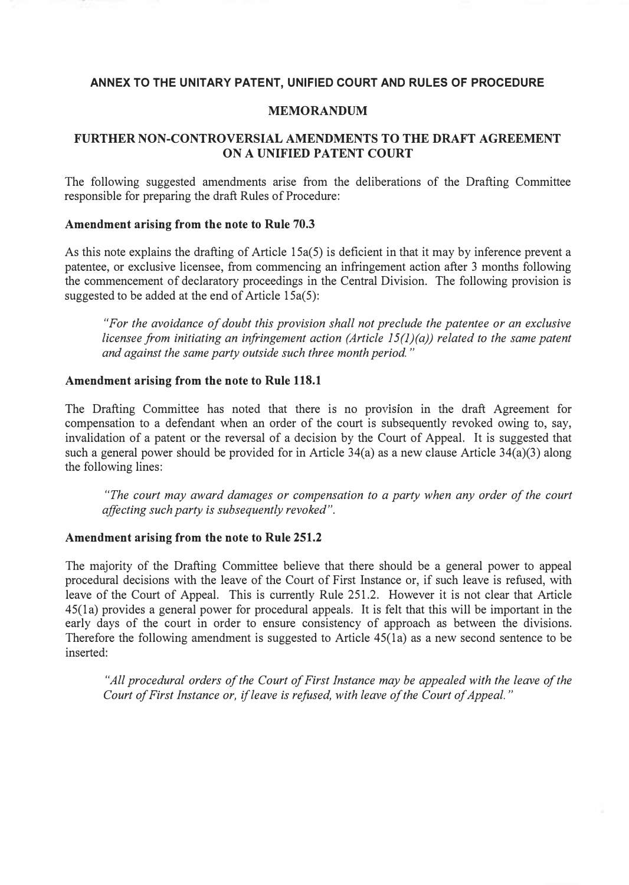## ANNEX TO THE UNITARY PATENT, UNIFIED COURT AND RULES OF PROCEDURE

#### MEMORANDUM

## FURTHER NON-CONTROVERSIAL AMENDMENTS TO THE DRAFT AGREEMENT ON A UNIFIED PATENT COURT

The following suggested amendments arise from the deliberations of the Drafting Committee responsible for preparing the draft Rules of Procedure:

#### Amendment arising from the note to Rule 70.3

As this note explains the drafting of Article 15a(5) is deficient in that it may by inference prevent a patentee, or exclusive licensee, from commencing an infringement action after 3 months following the commencement of declaratory proceedings in the Central Division. The following provision is suggested to be added at the end of Article 15a(5):

"For the avoidance of doubt this provision shall not preclude the patentee or an exclusive licensee from initiating an infringement action (Article  $15(1)(a)$ ) related to the same patent and against the same party outside such three month period. "

#### Amendment arising from the note to Rule 118.1

The Drafting Committee has noted that there is no provision in the draft Agreement for compensation to a defendant when an order of the court is subsequently revoked owing to, say, invalidation of a patent or the reversal of a decision by the Court of Appeal. It is suggested that such a general power should be provided for in Article 34(a) as a new clause Article 34(a)(3) along the following lines:

"The court may award damages or compensation to a party when any order of the court affecting such party is subsequently revoked".

## Amendment arising from the note to Rule 251.2

The majority of the Drafting Committee believe that there should be a general power to appeal procedural decisions with the leave of the Court of First Instance or, if such leave is refused, with leave of the Court of Appeal. This is currently Rule 251.2. However it is not clear that Article 45(1 a) provides a general power for procedural appeals. It is felt that this will be important in the early days of the court in order to ensure consistency of approach as between the divisions. Therefore the following amendment is suggested to Article 45(la) as a new second sentence to be inserted:

"All procedural orders of the Court of First Instance may be appealed with the leave of the Court of First Instance or, if leave is refused, with leave of the Court of Appeal. "